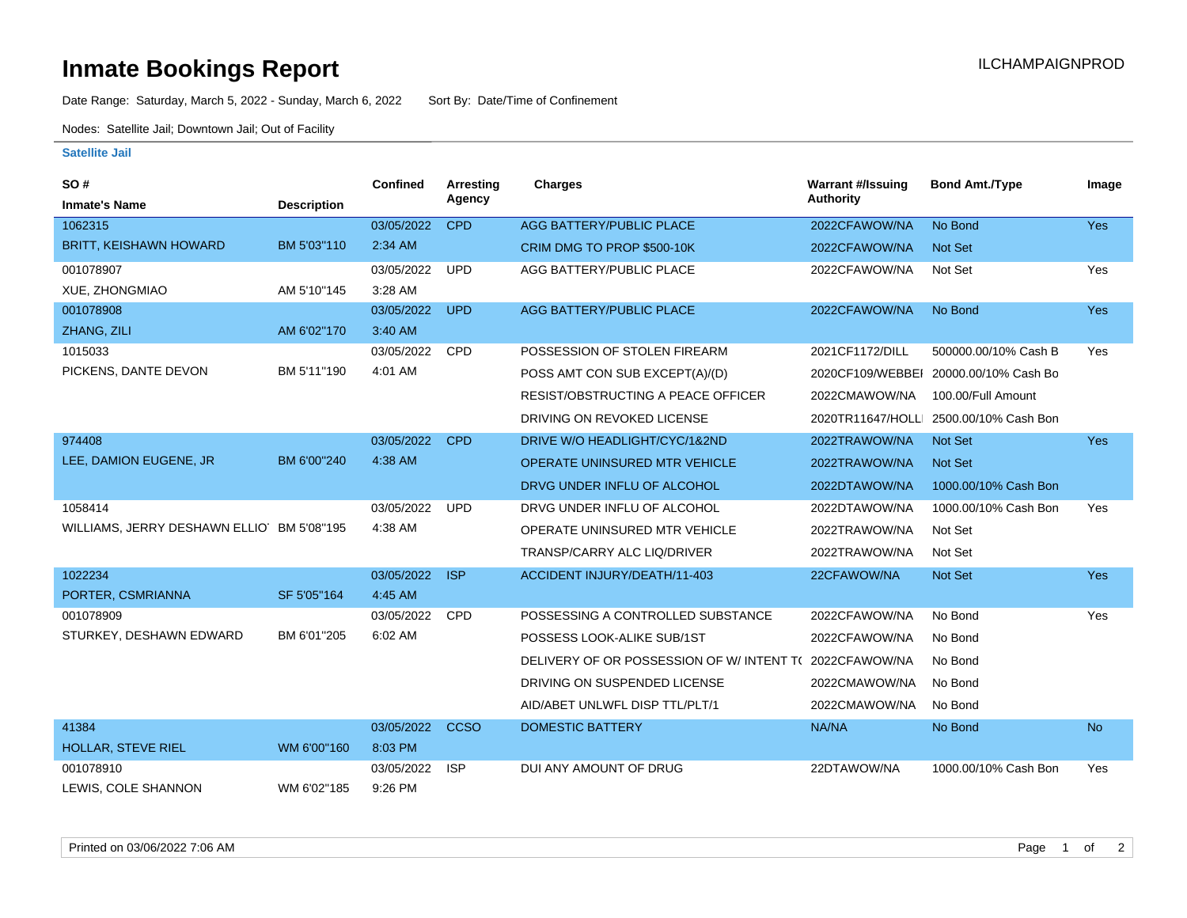## **Inmate Bookings Report Inmate Bookings Report**

Date Range: Saturday, March 5, 2022 - Sunday, March 6, 2022 Sort By: Date/Time of Confinement

Nodes: Satellite Jail; Downtown Jail; Out of Facility

## **Satellite Jail**

| SO#                                       |                    | <b>Confined</b> | Arresting   | <b>Charges</b>                           | <b>Warrant #/Issuing</b> | <b>Bond Amt./Type</b>                  | Image      |
|-------------------------------------------|--------------------|-----------------|-------------|------------------------------------------|--------------------------|----------------------------------------|------------|
| <b>Inmate's Name</b>                      | <b>Description</b> |                 | Agency      |                                          | <b>Authority</b>         |                                        |            |
| 1062315                                   |                    | 03/05/2022      | <b>CPD</b>  | <b>AGG BATTERY/PUBLIC PLACE</b>          | 2022CFAWOW/NA            | No Bond                                | Yes        |
| <b>BRITT, KEISHAWN HOWARD</b>             | BM 5'03"110        | $2:34$ AM       |             | CRIM DMG TO PROP \$500-10K               | 2022CFAWOW/NA            | Not Set                                |            |
| 001078907                                 |                    | 03/05/2022      | <b>UPD</b>  | AGG BATTERY/PUBLIC PLACE                 | 2022CFAWOW/NA            | Not Set                                | Yes        |
| XUE, ZHONGMIAO                            | AM 5'10"145        | 3:28 AM         |             |                                          |                          |                                        |            |
| 001078908                                 |                    | 03/05/2022      | <b>UPD</b>  | <b>AGG BATTERY/PUBLIC PLACE</b>          | 2022CFAWOW/NA            | No Bond                                | <b>Yes</b> |
| ZHANG, ZILI                               | AM 6'02"170        | 3:40 AM         |             |                                          |                          |                                        |            |
| 1015033                                   |                    | 03/05/2022      | <b>CPD</b>  | POSSESSION OF STOLEN FIREARM             | 2021CF1172/DILL          | 500000.00/10% Cash B                   | Yes        |
| PICKENS, DANTE DEVON                      | BM 5'11"190        | 4:01 AM         |             | POSS AMT CON SUB EXCEPT(A)/(D)           | 2020CF109/WEBBEI         | 20000.00/10% Cash Bo                   |            |
|                                           |                    |                 |             | RESIST/OBSTRUCTING A PEACE OFFICER       | 2022CMAWOW/NA            | 100.00/Full Amount                     |            |
|                                           |                    |                 |             | DRIVING ON REVOKED LICENSE               |                          | 2020TR11647/HOLLI 2500.00/10% Cash Bon |            |
| 974408                                    |                    | 03/05/2022      | <b>CPD</b>  | DRIVE W/O HEADLIGHT/CYC/1&2ND            | 2022TRAWOW/NA            | Not Set                                | Yes        |
| LEE, DAMION EUGENE, JR                    | BM 6'00"240        | 4:38 AM         |             | OPERATE UNINSURED MTR VEHICLE            | 2022TRAWOW/NA            | <b>Not Set</b>                         |            |
|                                           |                    |                 |             | DRVG UNDER INFLU OF ALCOHOL              | 2022DTAWOW/NA            | 1000.00/10% Cash Bon                   |            |
| 1058414                                   |                    | 03/05/2022      | <b>UPD</b>  | DRVG UNDER INFLU OF ALCOHOL              | 2022DTAWOW/NA            | 1000.00/10% Cash Bon                   | Yes        |
| WILLIAMS, JERRY DESHAWN ELLIO BM 5'08"195 |                    | 4:38 AM         |             | OPERATE UNINSURED MTR VEHICLE            | 2022TRAWOW/NA            | Not Set                                |            |
|                                           |                    |                 |             | <b>TRANSP/CARRY ALC LIQ/DRIVER</b>       | 2022TRAWOW/NA            | Not Set                                |            |
| 1022234                                   |                    | 03/05/2022      | <b>ISP</b>  | ACCIDENT INJURY/DEATH/11-403             | 22CFAWOW/NA              | Not Set                                | Yes        |
| PORTER, CSMRIANNA                         | SF 5'05"164        | 4:45 AM         |             |                                          |                          |                                        |            |
| 001078909                                 |                    | 03/05/2022      | CPD         | POSSESSING A CONTROLLED SUBSTANCE        | 2022CFAWOW/NA            | No Bond                                | Yes        |
| STURKEY, DESHAWN EDWARD                   | BM 6'01"205        | 6:02 AM         |             | POSSESS LOOK-ALIKE SUB/1ST               | 2022CFAWOW/NA            | No Bond                                |            |
|                                           |                    |                 |             | DELIVERY OF OR POSSESSION OF W/INTENT TO | 2022CFAWOW/NA            | No Bond                                |            |
|                                           |                    |                 |             | DRIVING ON SUSPENDED LICENSE             | 2022CMAWOW/NA            | No Bond                                |            |
|                                           |                    |                 |             | AID/ABET UNLWFL DISP TTL/PLT/1           | 2022CMAWOW/NA            | No Bond                                |            |
| 41384                                     |                    | 03/05/2022      | <b>CCSO</b> | <b>DOMESTIC BATTERY</b>                  | NA/NA                    | No Bond                                | <b>No</b>  |
| <b>HOLLAR, STEVE RIEL</b>                 | WM 6'00"160        | 8:03 PM         |             |                                          |                          |                                        |            |
| 001078910                                 |                    | 03/05/2022      | <b>ISP</b>  | DUI ANY AMOUNT OF DRUG                   | 22DTAWOW/NA              | 1000.00/10% Cash Bon                   | Yes        |
| LEWIS, COLE SHANNON                       | WM 6'02"185        | 9:26 PM         |             |                                          |                          |                                        |            |